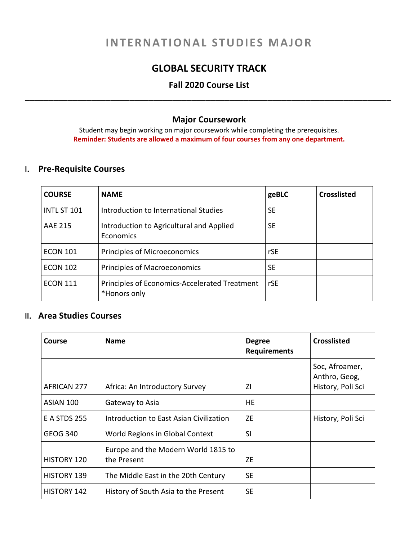# **INTERNATIONAL STUDIES MAJOR**

# **GLOBAL SECURITY TRACK**

# **Fall 2020 Course List \_\_\_\_\_\_\_\_\_\_\_\_\_\_\_\_\_\_\_\_\_\_\_\_\_\_\_\_\_\_\_\_\_\_\_\_\_\_\_\_\_\_\_\_\_\_\_\_\_\_\_\_\_\_\_\_\_\_\_\_\_\_\_\_\_\_\_\_\_\_\_\_\_\_\_\_\_**

#### **Major Coursework**

Student may begin working on major coursework while completing the prerequisites. **Reminder: Students are allowed a maximum of four courses from any one department.**

## **I. Pre-Requisite Courses**

| <b>COURSE</b>      | <b>NAME</b>                                                   | geBLC     | <b>Crosslisted</b> |
|--------------------|---------------------------------------------------------------|-----------|--------------------|
| <b>INTL ST 101</b> | Introduction to International Studies                         | <b>SE</b> |                    |
| AAE 215            | Introduction to Agricultural and Applied<br>Economics         | <b>SE</b> |                    |
| <b>ECON 101</b>    | Principles of Microeconomics                                  | rSE       |                    |
| <b>ECON 102</b>    | <b>Principles of Macroeconomics</b>                           | <b>SE</b> |                    |
| <b>ECON 111</b>    | Principles of Economics-Accelerated Treatment<br>*Honors only | rSE       |                    |

### **II. Area Studies Courses**

| Course              | <b>Name</b>                                        | <b>Degree</b><br><b>Requirements</b> | <b>Crosslisted</b>                                   |
|---------------------|----------------------------------------------------|--------------------------------------|------------------------------------------------------|
| AFRICAN 277         | Africa: An Introductory Survey                     | ΖI                                   | Soc, Afroamer,<br>Anthro, Geog,<br>History, Poli Sci |
| ASIAN 100           | Gateway to Asia                                    | HЕ                                   |                                                      |
| <b>E A STDS 255</b> | Introduction to East Asian Civilization            | ZF.                                  | History, Poli Sci                                    |
| <b>GEOG 340</b>     | World Regions in Global Context                    | SI                                   |                                                      |
| <b>HISTORY 120</b>  | Europe and the Modern World 1815 to<br>the Present | <b>ZE</b>                            |                                                      |
| <b>HISTORY 139</b>  | The Middle East in the 20th Century                | <b>SE</b>                            |                                                      |
| <b>HISTORY 142</b>  | History of South Asia to the Present               | <b>SE</b>                            |                                                      |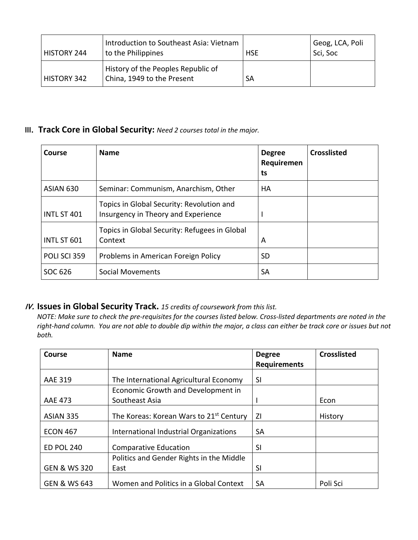| HISTORY 244 | Introduction to Southeast Asia: Vietnam<br>to the Philippines    | <b>HSE</b> | Geog, LCA, Poli<br>Sci, Soc |
|-------------|------------------------------------------------------------------|------------|-----------------------------|
| HISTORY 342 | History of the Peoples Republic of<br>China, 1949 to the Present | <b>SA</b>  |                             |

# **III. Track Core in Global Security:** *Need 2 courses total in the major.*

| Course             | <b>Name</b>                                                                      | <b>Degree</b><br>Requiremen<br>ts | <b>Crosslisted</b> |
|--------------------|----------------------------------------------------------------------------------|-----------------------------------|--------------------|
| ASIAN 630          | Seminar: Communism, Anarchism, Other                                             | НA                                |                    |
| <b>INTL ST 401</b> | Topics in Global Security: Revolution and<br>Insurgency in Theory and Experience |                                   |                    |
| INTL ST 601        | Topics in Global Security: Refugees in Global<br>Context                         | A                                 |                    |
| POLI SCI 359       | Problems in American Foreign Policy                                              | <b>SD</b>                         |                    |
| SOC 626            | Social Movements                                                                 | <b>SA</b>                         |                    |

# **IV. Issues in Global Security Track.** *15 credits of coursework from this list.*

NOTE: Make sure to check the pre-requisites for the courses listed below. Cross-listed departments are noted in the right-hand column. You are not able to double dip within the major, a class can either be track core or issues but not *both.*

| <b>Course</b>           | <b>Name</b>                                         | <b>Degree</b>       | <b>Crosslisted</b> |
|-------------------------|-----------------------------------------------------|---------------------|--------------------|
|                         |                                                     | <b>Requirements</b> |                    |
| <b>AAE 319</b>          | The International Agricultural Economy              | SI                  |                    |
|                         | Economic Growth and Development in                  |                     |                    |
| <b>AAE 473</b>          | Southeast Asia                                      |                     | Econ               |
| ASIAN 335               | The Koreas: Korean Wars to 21 <sup>st</sup> Century | ΖI                  | History            |
| <b>ECON 467</b>         | International Industrial Organizations              | <b>SA</b>           |                    |
| <b>ED POL 240</b>       | <b>Comparative Education</b>                        | SI                  |                    |
|                         | Politics and Gender Rights in the Middle            |                     |                    |
| <b>GEN &amp; WS 320</b> | East                                                | SI                  |                    |
| <b>GEN &amp; WS 643</b> | Women and Politics in a Global Context              | <b>SA</b>           | Poli Sci           |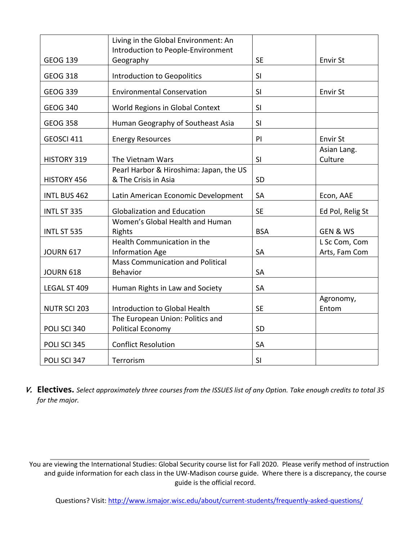|                     | Living in the Global Environment: An<br>Introduction to People-Environment |            |                                |
|---------------------|----------------------------------------------------------------------------|------------|--------------------------------|
| <b>GEOG 139</b>     | Geography                                                                  | <b>SE</b>  | <b>Envir St</b>                |
| <b>GEOG 318</b>     | <b>Introduction to Geopolitics</b>                                         | SI         |                                |
| <b>GEOG 339</b>     | <b>Environmental Conservation</b>                                          | SI         | <b>Envir St</b>                |
| <b>GEOG 340</b>     | World Regions in Global Context                                            | SI         |                                |
| <b>GEOG 358</b>     | Human Geography of Southeast Asia                                          | SI         |                                |
| GEOSCI 411          | <b>Energy Resources</b>                                                    | PI         | <b>Envir St</b>                |
| HISTORY 319         | The Vietnam Wars                                                           | SI         | Asian Lang.<br>Culture         |
| HISTORY 456         | Pearl Harbor & Hiroshima: Japan, the US<br>& The Crisis in Asia            | SD         |                                |
| <b>INTL BUS 462</b> | Latin American Economic Development                                        | SA         | Econ, AAE                      |
| INTL ST 335         | <b>Globalization and Education</b>                                         | <b>SE</b>  | Ed Pol, Relig St               |
| INTL ST 535         | Women's Global Health and Human<br>Rights                                  | <b>BSA</b> | <b>GEN &amp; WS</b>            |
| <b>JOURN 617</b>    | Health Communication in the<br>Information Age                             | <b>SA</b>  | L Sc Com, Com<br>Arts, Fam Com |
| <b>JOURN 618</b>    | <b>Mass Communication and Political</b><br>Behavior                        | SA         |                                |
| LEGAL ST 409        | Human Rights in Law and Society                                            | SA         |                                |
| <b>NUTR SCI 203</b> | Introduction to Global Health                                              | <b>SE</b>  | Agronomy,<br>Entom             |
| POLI SCI 340        | The European Union: Politics and<br><b>Political Economy</b>               | SD         |                                |
| POLI SCI 345        | <b>Conflict Resolution</b>                                                 | <b>SA</b>  |                                |
| POLI SCI 347        | Terrorism                                                                  | SI         |                                |

V. Electives. Select approximately three courses from the ISSUES list of any Option. Take enough credits to total 35 *for the major.*

You are viewing the International Studies: Global Security course list for Fall 2020. Please verify method of instruction and guide information for each class in the UW-Madison course guide. Where there is a discrepancy, the course guide is the official record.

Questions? Visit: http://www.ismajor.wisc.edu/about/current-students/frequently-asked-questions/